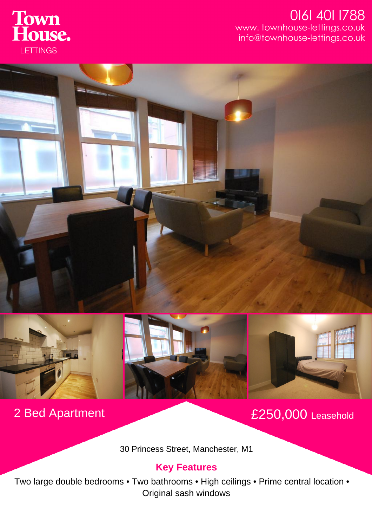

## 0161 401 1788 www.townhouse-lettings.co.uk info@townhouse-lettings.co.uk









2 Bed Apartment £250,000 Leasehold

30 Princess Street, Manchester, M1

## **Key Features**

Two large double bedrooms • Two bathrooms • High ceilings • Prime central location • Original sash windows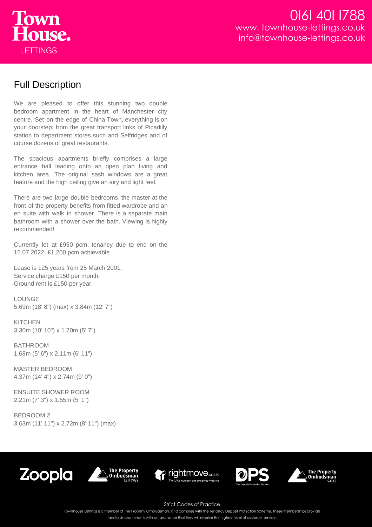

## Full Description

We are pleased to offer this stunning two double bedroom apartment in the heart of Manchester city centre. Set on the edge of China Town, everything is on your doorstep; from the great transport links of Picadilly station to department stores such and Selfridges and of course dozens of great restaurants.

The spacious apartments briefly comprises a large entrance hall leading onto an open plan living and kitchen area. The original sash windows are a great feature and the high ceiling give an airy and light feel.

There are two large double bedrooms, the master at the front of the property benefits from fitted wardrobe and an en suite with walk in shower. There is a separate main bathroom with a shower over the bath. Viewing is highly recommended!

Currently let at £950 pcm, tenancy due to end on the 15.07.2022. £1,200 pcm achievable.

Lease is 125 years from 25 March 2001. Service charge £150 per month. Ground rent is £150 per year.

**LOUNGE** 5.69m (18' 8") (max) x 3.84m (12' 7")

**KITCHEN** 3.30m (10' 10") x 1.70m (5' 7")

BATHROOM 1.68m (5' 6") x 2.11m (6' 11")

MASTER BEDROOM 4.37m (14' 4") x 2.74m (9' 0")

ENSUITE SHOWER ROOM 2.21m (7' 3") x 1.55m (5' 1")

BEDROOM 2 3.63m (11' 11") x 2.72m (8' 11") (max)











**Strict Codes of Practice** 

Townhouse Lettings is a member of The Property Ombudsman, and complies with the Tenancy Deposit Protection Scheme. These memberships provide

landlords and tenants with an assurance that they will receive the highest level of customer service.